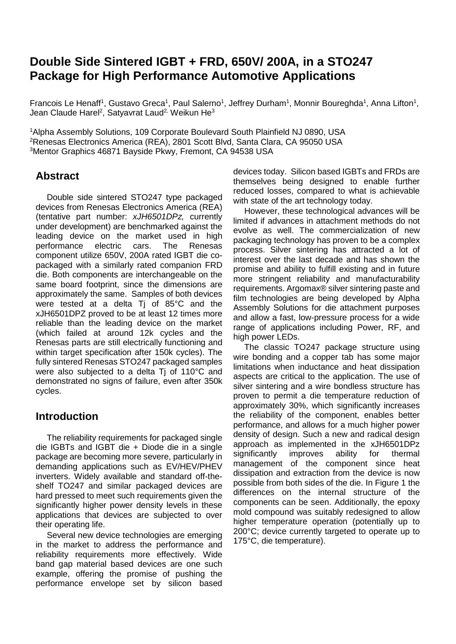# **Double Side Sintered IGBT + FRD, 650V/ 200A, in a STO247 Package for High Performance Automotive Applications**

Francois Le Henaff<sup>1</sup>, Gustavo Greca<sup>1</sup>, Paul Salerno<sup>1</sup>, Jeffrey Durham<sup>1</sup>, Monnir Boureghda<sup>1</sup>, Anna Lifton<sup>1</sup>, Jean Claude Harel<sup>2</sup>, Satyavrat Laud<sup>2,</sup> Weikun He<sup>3</sup>

1 Alpha Assembly Solutions, 109 Corporate Boulevard South Plainfield NJ 0890, USA 2 Renesas Electronics America (REA), 2801 Scott Blvd, Santa Clara, CA 95050 USA 3Mentor Graphics 46871 Bayside Pkwy, Fremont, CA 94538 USA

### **Abstract**

Double side sintered STO247 type packaged devices from Renesas Electronics America (REA) (tentative part number: *xJH6501DPz,* currently under development) are benchmarked against the leading device on the market used in high performance electric cars. The Renesas component utilize 650V, 200A rated IGBT die copackaged with a similarly rated companion FRD die. Both components are interchangeable on the same board footprint, since the dimensions are approximately the same. Samples of both devices were tested at a delta Tj of 85°C and the xJH6501DPZ proved to be at least 12 times more reliable than the leading device on the market (which failed at around 12k cycles and the Renesas parts are still electrically functioning and within target specification after 150k cycles). The fully sintered Renesas STO247 packaged samples were also subjected to a delta Tj of 110°C and demonstrated no signs of failure, even after 350k cycles.

### **Introduction**

The reliability requirements for packaged single die IGBTs and IGBT die + Diode die in a single package are becoming more severe, particularly in demanding applications such as EV/HEV/PHEV inverters. Widely available and standard off-theshelf TO247 and similar packaged devices are hard pressed to meet such requirements given the significantly higher power density levels in these applications that devices are subjected to over their operating life.

Several new device technologies are emerging in the market to address the performance and reliability requirements more effectively. Wide band gap material based devices are one such example, offering the promise of pushing the performance envelope set by silicon based

devices today. Silicon based IGBTs and FRDs are themselves being designed to enable further reduced losses, compared to what is achievable with state of the art technology today.

However, these technological advances will be limited if advances in attachment methods do not evolve as well. The commercialization of new packaging technology has proven to be a complex process. Silver sintering has attracted a lot of interest over the last decade and has shown the promise and ability to fulfill existing and in future more stringent reliability and manufacturability requirements. Argomax® silver sintering paste and film technologies are being developed by Alpha Assembly Solutions for die attachment purposes and allow a fast, low-pressure process for a wide range of applications including Power, RF, and high power LEDs.

The classic TO247 package structure using wire bonding and a copper tab has some major limitations when inductance and heat dissipation aspects are critical to the application. The use of silver sintering and a wire bondless structure has proven to permit a die temperature reduction of approximately 30%, which significantly increases the reliability of the component, enables better performance, and allows for a much higher power density of design. Such a new and radical design approach as implemented in the xJH6501DPz significantly improves ability for thermal management of the component since heat dissipation and extraction from the device is now possible from both sides of the die. In Figure 1 the differences on the internal structure of the components can be seen. Additionally, the epoxy mold compound was suitably redesigned to allow higher temperature operation (potentially up to 200°C; device currently targeted to operate up to 175°C, die temperature).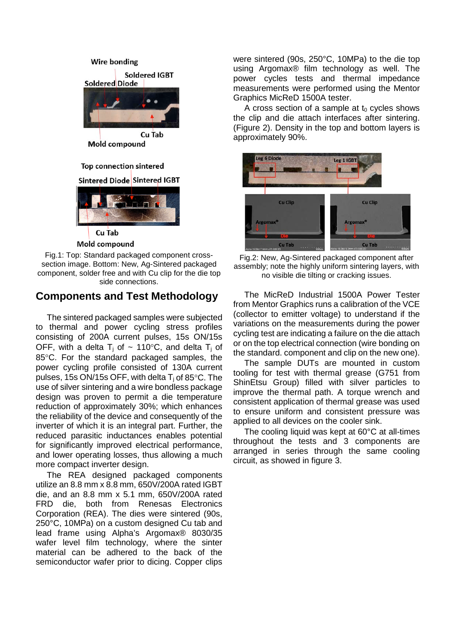

Fig.1: Top: Standard packaged component crosssection image. Bottom: New, Ag-Sintered packaged component, solder free and with Cu clip for the die top side connections.

### **Components and Test Methodology**

The sintered packaged samples were subjected to thermal and power cycling stress profiles consisting of 200A current pulses, 15s ON/15s OFF, with a delta  $T_i$  of ~ 110°C, and delta  $T_i$  of 85°C. For the standard packaged samples, the power cycling profile consisted of 130A current pulses, 15s ON/15s OFF, with delta  $T_i$  of 85 $\degree$ C. The use of silver sintering and a wire bondless package design was proven to permit a die temperature reduction of approximately 30%; which enhances the reliability of the device and consequently of the inverter of which it is an integral part. Further, the reduced parasitic inductances enables potential for significantly improved electrical performance, and lower operating losses, thus allowing a much more compact inverter design.

The REA designed packaged components utilize an 8.8 mm x 8.8 mm, 650V/200A rated IGBT die, and an 8.8 mm x 5.1 mm, 650V/200A rated FRD die, both from Renesas Electronics Corporation (REA). The dies were sintered (90s, 250°C, 10MPa) on a custom designed Cu tab and lead frame using Alpha's Argomax® 8030/35 wafer level film technology, where the sinter material can be adhered to the back of the semiconductor wafer prior to dicing. Copper clips

were sintered (90s, 250°C, 10MPa) to the die top using Argomax® film technology as well. The power cycles tests and thermal impedance measurements were performed using the Mentor Graphics MicReD 1500A tester.

A cross section of a sample at  $t_0$  cycles shows the clip and die attach interfaces after sintering. (Figure 2). Density in the top and bottom layers is approximately 90%.



Fig.2: New, Ag-Sintered packaged component after assembly; note the highly uniform sintering layers, with no visible die tilting or cracking issues.

The MicReD Industrial 1500A Power Tester from Mentor Graphics runs a calibration of the VCE (collector to emitter voltage) to understand if the variations on the measurements during the power cycling test are indicating a failure on the die attach or on the top electrical connection (wire bonding on the standard. component and clip on the new one).

The sample DUTs are mounted in custom tooling for test with thermal grease (G751 from ShinEtsu Group) filled with silver particles to improve the thermal path. A torque wrench and consistent application of thermal grease was used to ensure uniform and consistent pressure was applied to all devices on the cooler sink.

The cooling liquid was kept at 60°C at all-times throughout the tests and 3 components are arranged in series through the same cooling circuit, as showed in figure 3.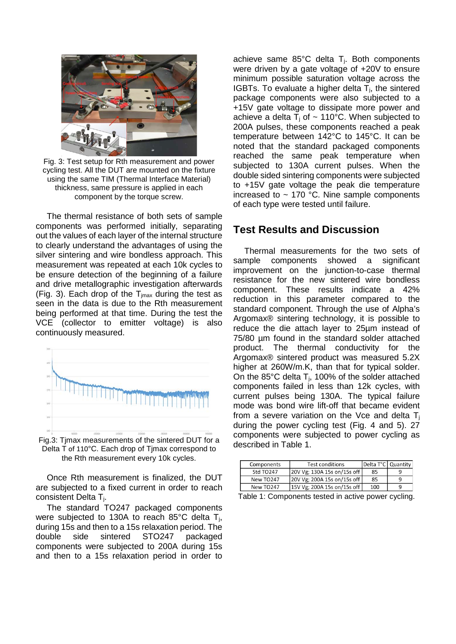

Fig. 3: Test setup for Rth measurement and power cycling test. All the DUT are mounted on the fixture using the same TIM (Thermal Interface Material) thickness, same pressure is applied in each component by the torque screw.

The thermal resistance of both sets of sample components was performed initially, separating out the values of each layer of the internal structure to clearly understand the advantages of using the silver sintering and wire bondless approach. This measurement was repeated at each 10k cycles to be ensure detection of the beginning of a failure and drive metallographic investigation afterwards (Fig. 3). Each drop of the  $T_{\text{imax}}$  during the test as seen in the data is due to the Rth measurement being performed at that time. During the test the VCE (collector to emitter voltage) is also continuously measured.



Fig.3: Tjmax measurements of the sintered DUT for a Delta T of 110°C. Each drop of Tjmax correspond to the Rth measurement every 10k cycles.

Once Rth measurement is finalized, the DUT are subjected to a fixed current in order to reach consistent Delta Tj.

The standard TO247 packaged components were subjected to 130A to reach 85°C delta T<sub>i</sub>, during 15s and then to a 15s relaxation period. The double side sintered STO247 packaged components were subjected to 200A during 15s and then to a 15s relaxation period in order to

achieve same  $85^{\circ}$ C delta T<sub>i</sub>. Both components were driven by a gate voltage of +20V to ensure minimum possible saturation voltage across the IGBTs. To evaluate a higher delta  $T_i$ , the sintered package components were also subjected to a +15V gate voltage to dissipate more power and achieve a delta  $T_i$  of  $\sim$  110°C. When subjected to 200A pulses, these components reached a peak temperature between 142°C to 145°C. It can be noted that the standard packaged components reached the same peak temperature when subjected to 130A current pulses. When the double sided sintering components were subjected to +15V gate voltage the peak die temperature increased to  $\sim$  170 °C. Nine sample components of each type were tested until failure.

#### **Test Results and Discussion**

Thermal measurements for the two sets of sample components showed a significant improvement on the junction-to-case thermal resistance for the new sintered wire bondless component. These results indicate a 42% reduction in this parameter compared to the standard component. Through the use of Alpha's Argomax® sintering technology, it is possible to reduce the die attach layer to 25µm instead of 75/80 µm found in the standard solder attached product. The thermal conductivity for the Argomax® sintered product was measured 5.2X higher at 260W/m.K, than that for typical solder. On the 85 $\degree$ C delta T<sub>i</sub>, 100% of the solder attached components failed in less than 12k cycles, with current pulses being 130A. The typical failure mode was bond wire lift-off that became evident from a severe variation on the Vce and delta  $T_i$ during the power cycling test (Fig. 4 and 5). 27 components were subjected to power cycling as described in Table 1.

| Components | <b>Test conditions</b>       | Delta T°C   Quantity |  |
|------------|------------------------------|----------------------|--|
| Std TO247  | 20V Vg; 130A 15s on/15s of f | 85                   |  |
| New TO247  | 20V Vg; 200A 15s on/15s off  | 85                   |  |
| New TO247  | 15V Vg; 200A 15s on/15s off  | 100                  |  |

Table 1: Components tested in active power cycling.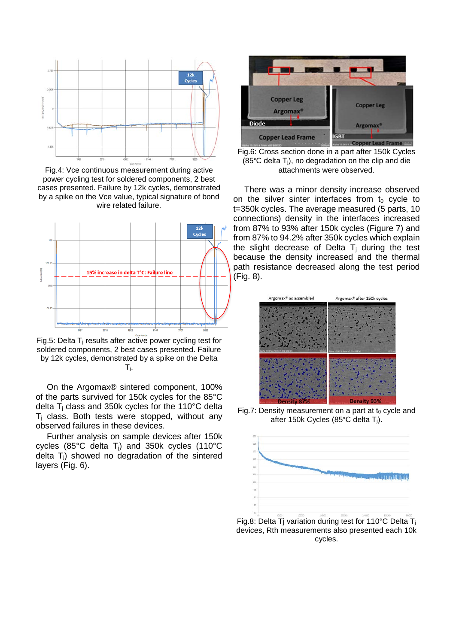

Fig.4: Vce continuous measurement during active power cycling test for soldered components, 2 best cases presented. Failure by 12k cycles, demonstrated by a spike on the Vce value, typical signature of bond wire related failure.



Fig.5: Delta  $T_i$  results after active power cycling test for soldered components, 2 best cases presented. Failure by 12k cycles, demonstrated by a spike on the Delta Tj.

On the Argomax® sintered component, 100% of the parts survived for 150k cycles for the 85°C delta  $T_i$  class and 350k cycles for the 110 $^{\circ}$ C delta  $T_i$  class. Both tests were stopped, without any observed failures in these devices.

Further analysis on sample devices after 150k cycles (85°C delta Tj) and 350k cycles (110°C delta T<sub>i</sub>) showed no degradation of the sintered layers (Fig. 6).



Fig.6: Cross section done in a part after 150k Cycles (85 $^{\circ}$ C delta T<sub>i</sub>), no degradation on the clip and die attachments were observed.

There was a minor density increase observed on the silver sinter interfaces from  $t_0$  cycle to t=350k cycles. The average measured (5 parts, 10 connections) density in the interfaces increased from 87% to 93% after 150k cycles (Figure 7) and from 87% to 94.2% after 350k cycles which explain the slight decrease of Delta  $T_i$  during the test because the density increased and the thermal path resistance decreased along the test period (Fig. 8).



Fig.7: Density measurement on a part at  $t_0$  cycle and after 150k Cycles (85°C delta Tj).



Fig.8: Delta Tj variation during test for 110°C Delta Tj devices, Rth measurements also presented each 10k cycles.